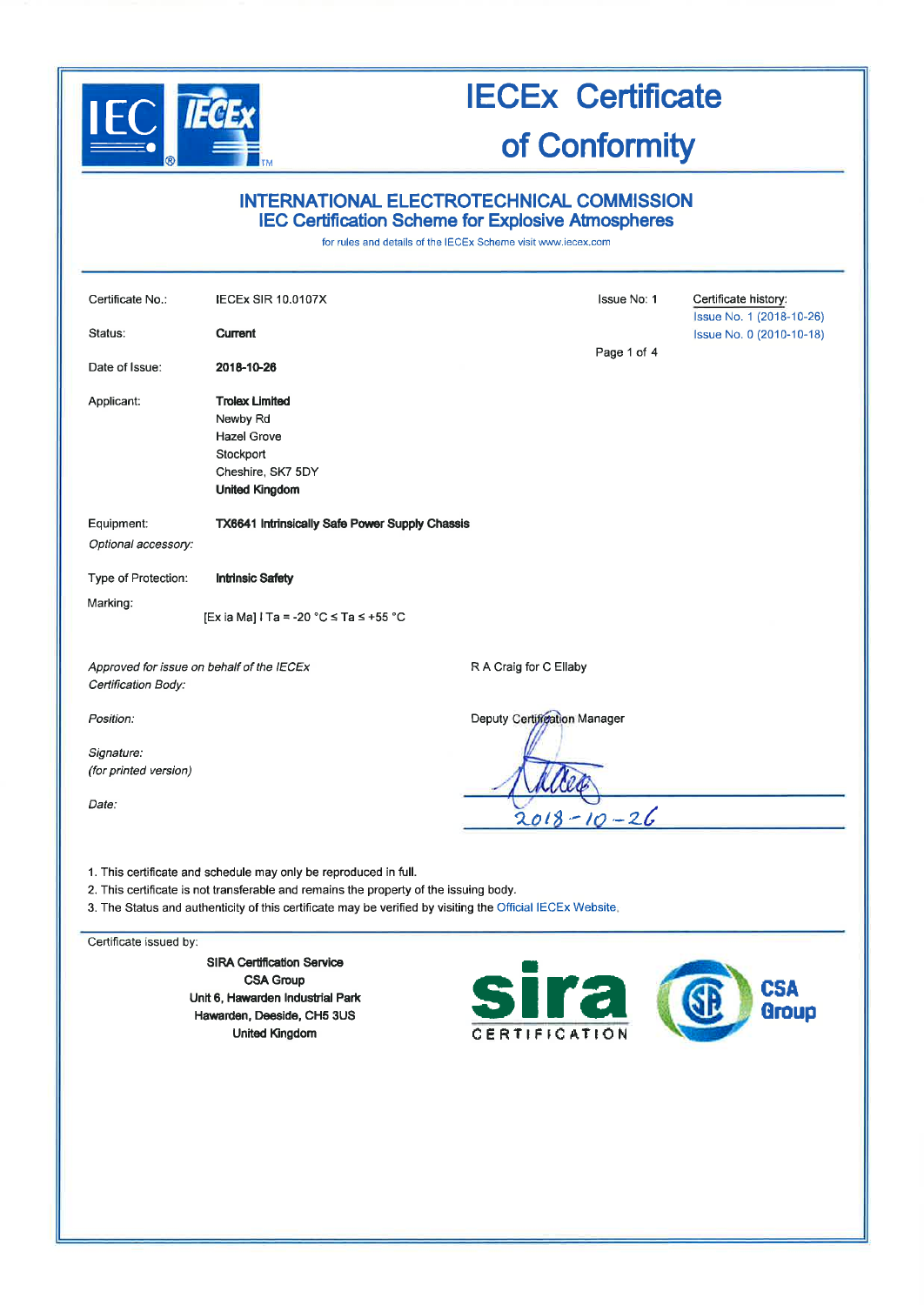

# INTERNATIONAL ELECTROTECHNICAL COMMISSION **IEC Certification Scheme for Explosive Atmospheres**

for rules and details of the IECEx Scheme visit www.iecex.com

| Certificate No.:                                                 | <b>IECEX SIR 10,0107X</b>                                                                                                                                                                                                                                               |                              | Issue No: 1 | Certificate history:<br>Issue No. 1 (2018-10-26) |
|------------------------------------------------------------------|-------------------------------------------------------------------------------------------------------------------------------------------------------------------------------------------------------------------------------------------------------------------------|------------------------------|-------------|--------------------------------------------------|
| Status:                                                          | <b>Current</b>                                                                                                                                                                                                                                                          |                              |             | Issue No. 0 (2010-10-18)                         |
| Date of Issue:                                                   | 2018-10-26                                                                                                                                                                                                                                                              |                              | Page 1 of 4 |                                                  |
| Applicant:                                                       | <b>Trolex Limited</b><br>Newby Rd<br><b>Hazel Grove</b><br>Stockport<br>Cheshire, SK7 5DY<br><b>United Kingdom</b>                                                                                                                                                      |                              |             |                                                  |
| Equipment:<br>Optional accessory:                                | <b>TX6641 Intrinsically Safe Power Supply Chassis</b>                                                                                                                                                                                                                   |                              |             |                                                  |
| Type of Protection:                                              | <b>Intrinsic Safety</b>                                                                                                                                                                                                                                                 |                              |             |                                                  |
| Marking:                                                         | [Ex ia Ma] I Ta = -20 °C ≤ Ta ≤ +55 °C                                                                                                                                                                                                                                  |                              |             |                                                  |
| Approved for issue on behalf of the IECEx<br>Certification Body: |                                                                                                                                                                                                                                                                         | R A Craig for C Ellaby       |             |                                                  |
| Position.                                                        |                                                                                                                                                                                                                                                                         | Deputy Certification Manager |             |                                                  |
| Signature:<br>(for printed version)                              |                                                                                                                                                                                                                                                                         |                              |             |                                                  |
| Date:                                                            |                                                                                                                                                                                                                                                                         | $2018 - 10 - 26$             |             |                                                  |
|                                                                  | 1. This certificate and schedule may only be reproduced in full.<br>2. This certificate is not transferable and remains the property of the issuing body.<br>3. The Status and authenticity of this certificate may be verified by visiting the Official IECEx Website. |                              |             |                                                  |

Certificate issued by:

**SIRA Certification Service CSA Group** Unit 6, Hawarden Industrial Park Hawarden, Deeside, CH5 3US **United Kingdom** 

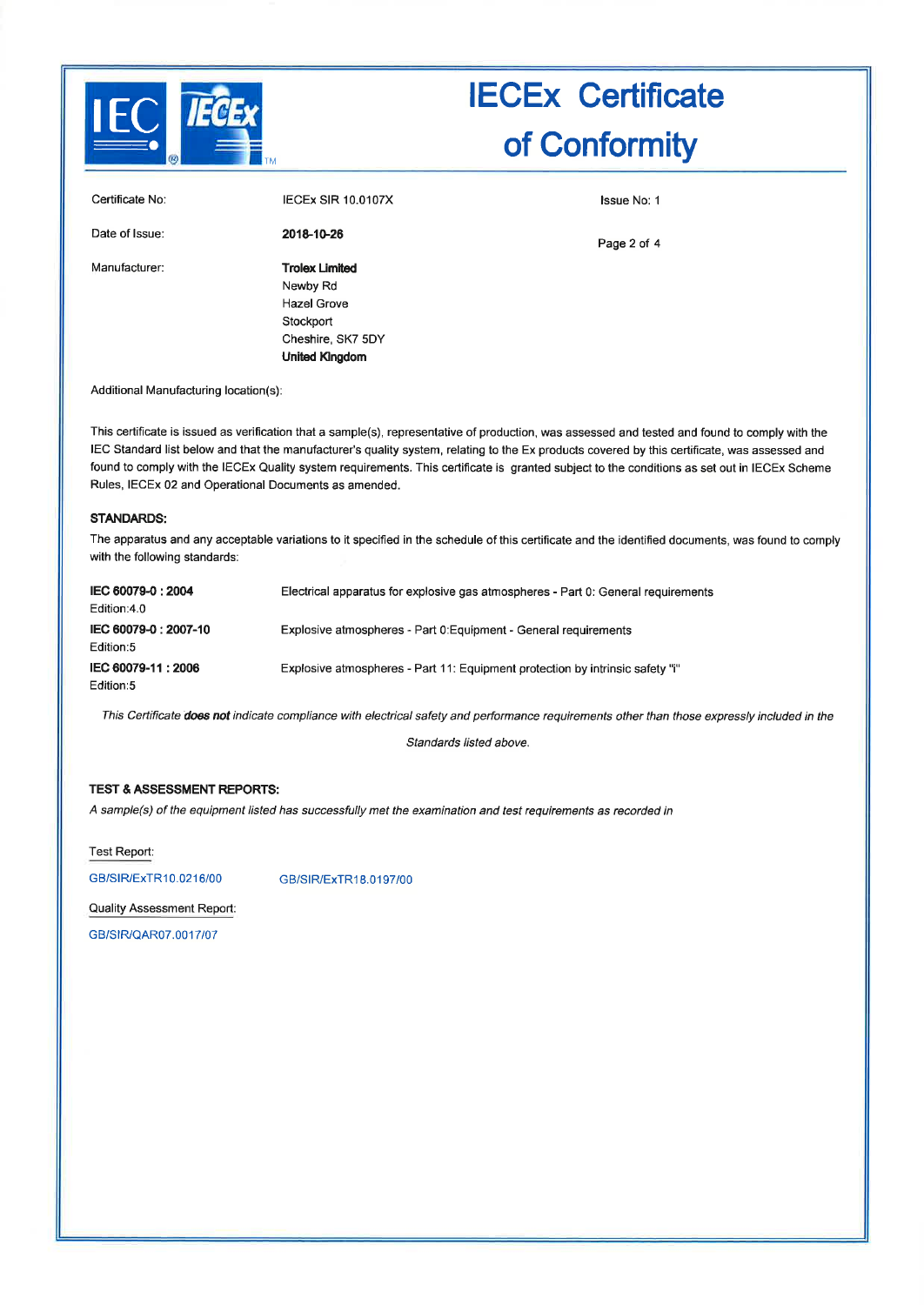

| Certificate No: | <b>IECEX SIR 10.0107X</b>         | <b>Issue No: 1</b> |
|-----------------|-----------------------------------|--------------------|
| Date of Issue:  | 2018-10-26                        | Page 2 of 4        |
| Manufacturer:   | <b>Trolex Limited</b><br>Newby Rd |                    |
|                 | <b>Hazel Grove</b>                |                    |
|                 | Stockport                         |                    |
|                 | Cheshire, SK7 5DY                 |                    |
|                 | <b>United Kingdom</b>             |                    |

Additional Manufacturing location(s):

This certificate is issued as verification that a sample(s), representative of production, was assessed and tested and found to comply with the IEC Standard list below and that the manufacturer's quality system, relating to the Ex products covered by this certificate, was assessed and found to comply with the IECEx Quality system requirements. This certificate is granted subject to the conditions as set out in IECEx Scheme Rules, IECEx 02 and Operational Documents as amended.

#### **STANDARDS:**

The apparatus and any acceptable variations to it specified in the schedule of this certificate and the identified documents, was found to comply with the following standards:

| IEC 60079-0: 2004<br>Edition:4.0   | Electrical apparatus for explosive gas atmospheres - Part 0: General requirements |
|------------------------------------|-----------------------------------------------------------------------------------|
| IEC 60079-0 : 2007-10<br>Edition:5 | Explosive atmospheres - Part 0: Equipment - General requirements                  |
| IEC 60079-11:2006<br>Edition:5     | Explosive atmospheres - Part 11: Equipment protection by intrinsic safety "i"     |

This Certificate does not indicate compliance with electrical safety and performance requirements other than those expressly included in the

Standards listed above.

### **TEST & ASSESSMENT REPORTS:**

A sample(s) of the equipment listed has successfully met the examination and test requirements as recorded in

Test Report:

GB/SIR/ExTR10.0216/00

GB/SIR/ExTR18.0197/00

Quality Assessment Report:

GB/SIR/QAR07.0017/07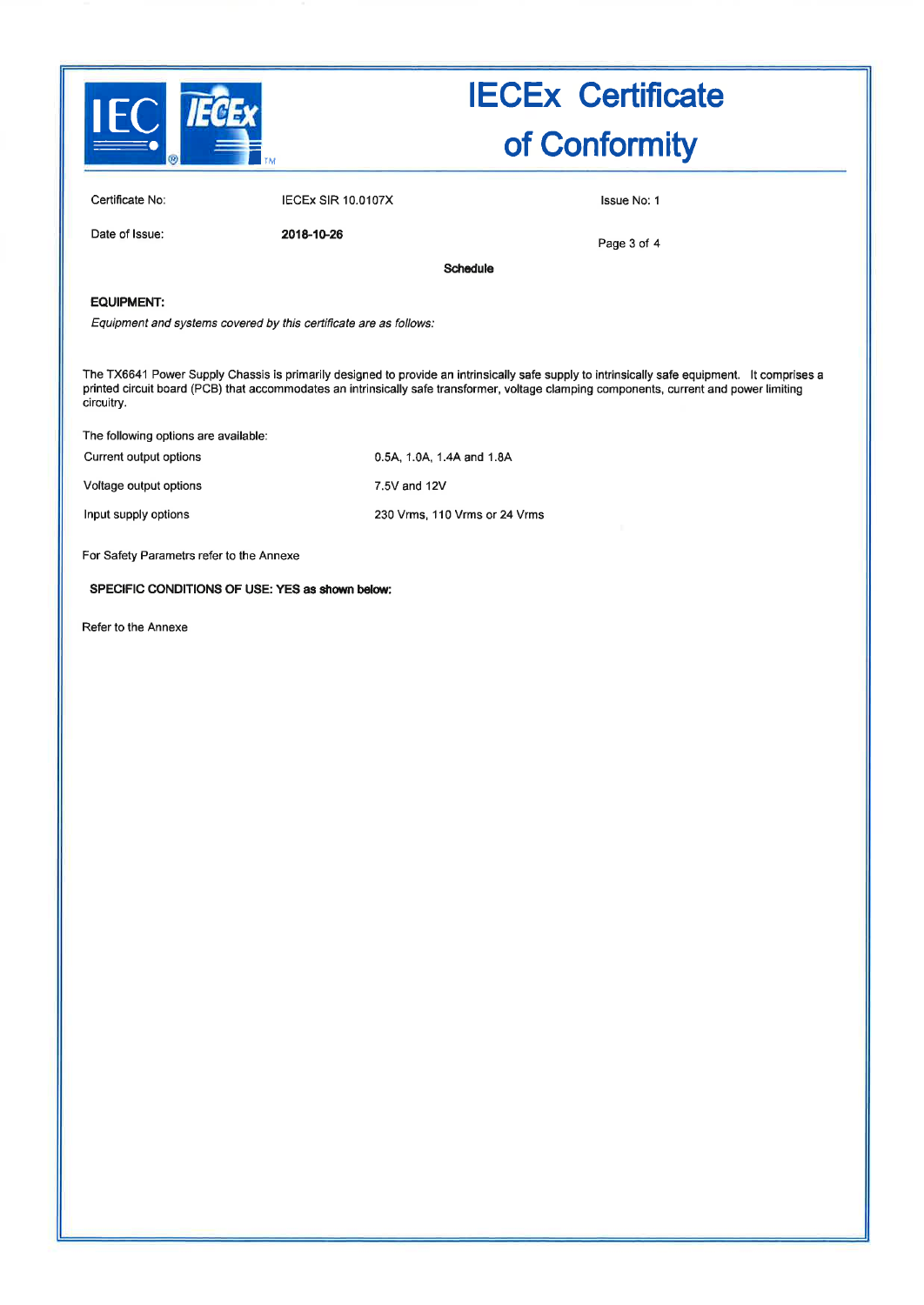

| Certificate No: | <b>IECEX SIR 10.0107X</b> | <b>Issue No. 1</b> |
|-----------------|---------------------------|--------------------|
| Date of Issue:  | 2018-10-26                | Dana 2 af A        |

Page 3 of 4

Schedule

### EQUIPMENT:

Equipment and systems covered by this certificate are as follows:

The TX6641 Power Supply Chassis is primarily designed to provide an intrinsically safe supply to intrinsically safe equipment. It comprises a printed circuit board (PCB) that accommodates an intrinsically safe transformer, voltage clamping components, current and power limiting circuitry.

The following options are available:

| Current output options | 0.5A, 1.0A, 1.4A and 1.8A     |
|------------------------|-------------------------------|
| Voltage output options | 7.5V and 12V                  |
| Input supply options   | 230 Vrms, 110 Vrms or 24 Vrms |

For Safety Parametrs refer to the Annexe

#### SPECIFIC CONDITIONS OF USE: YES as sñown below:

Refer to the Annexe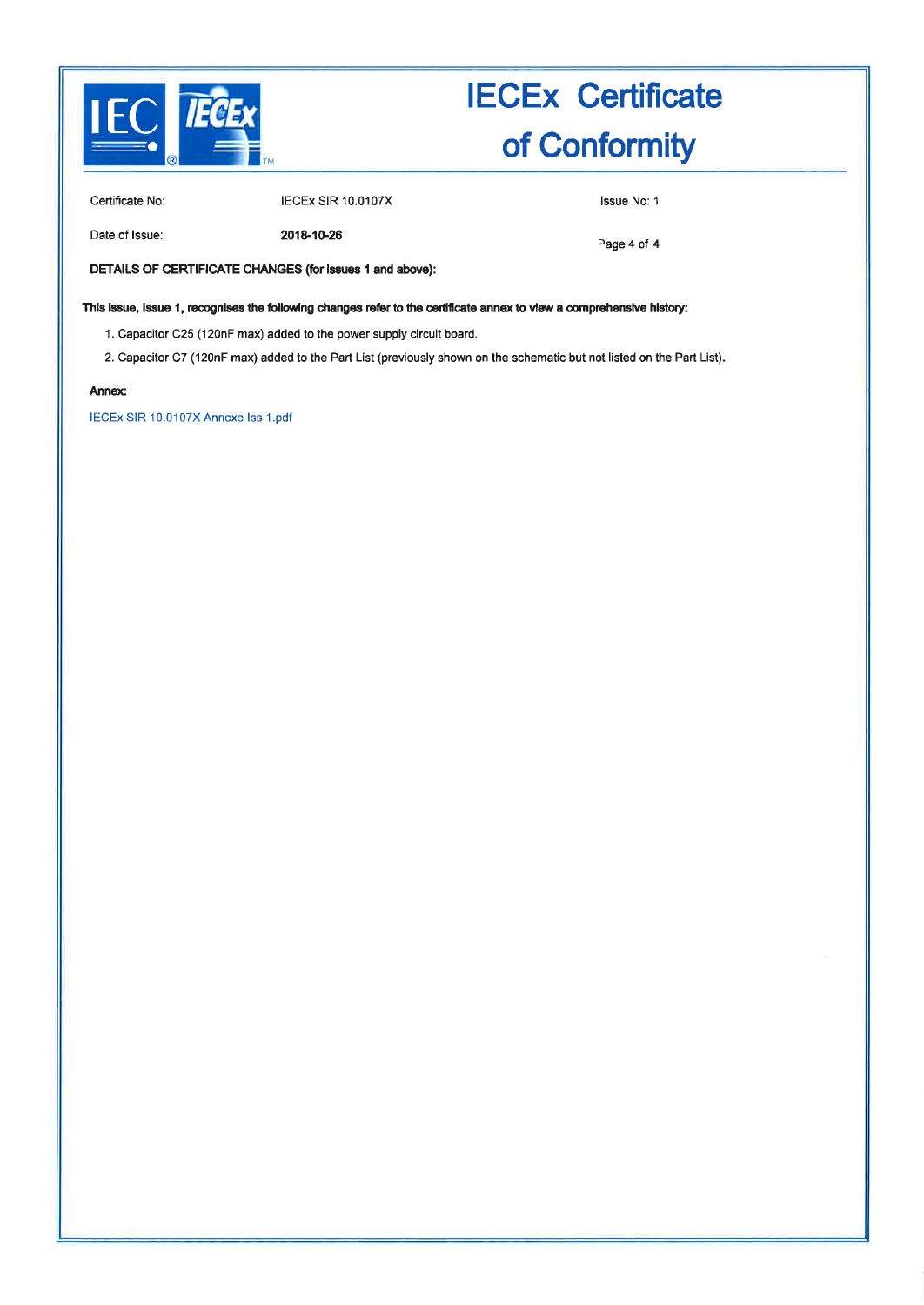

Certificate No:

**IECEx SIR 10.0107X** 

Issue No: 1

Date of Issue:

2018-10-26

Page 4 of 4

DETAILS OF CERTIFICATE CHANGES (for issues 1 and above):

This issue, Issue 1, recognises the following changes refer to the certificate annex to view a comprehensive history:

1. Capacitor C25 (120nF max) added to the power supply circuit board.

2. Capacitor C7 (120nF max) added to the Part List (previously shown on the schematic but not listed on the Part List).

#### Annex:

IECEx SIR 10.0107X Annexe Iss 1.pdf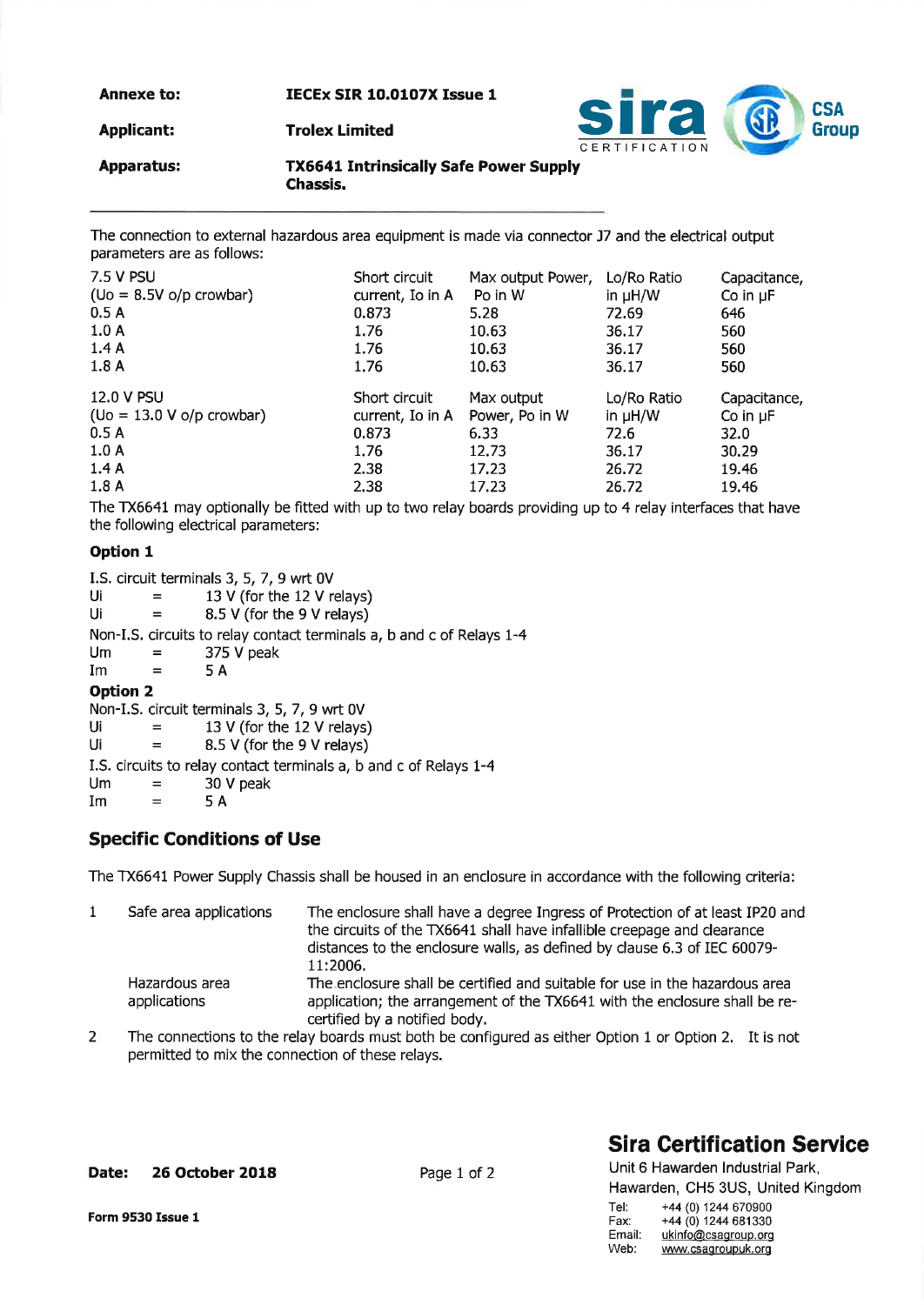Annexe to:

IECEx SIR 10.0107X Issue 1



Applicant:

Apparatus:

TX6641 Intrinsically Safe Power Supply Chassis.

The connection to external hazardous area equipment is made via connector J7 and the electrical output parameters are as follows:

| 7.5 V PSU                       | Short circuit    | Max output Power, | Lo/Ro Ratio  | Capacitance,  |
|---------------------------------|------------------|-------------------|--------------|---------------|
| $(Uo = 8.5V o/p$ crowbar)       | current, Io in A | Po in W           | in $\mu H/W$ | Co in $\mu$ F |
| 0.5A                            | 0.873            | 5.28              | 72.69        | 646           |
| 1.0A                            | 1.76             | 10.63             | 36.17        | 560           |
| 1.4A                            | 1.76             | 10.63             | 36.17        | 560           |
| 1.8A                            | 1.76             | 10.63             | 36.17        | 560           |
|                                 |                  |                   |              |               |
| 12.0 V PSU                      | Short circuit    | Max output        | Lo/Ro Ratio  | Capacitance,  |
| $($ Uo = 13.0 V o/p crowbar $)$ | current, Io in A | Power, Po in W    | in $\mu$ H/W | Co in $\mu$ F |
| 0.5A                            | 0.873            | 6.33              | 72.6         | 32.0          |
| 1.0A                            | 1.76             | 12.73             | 36.17        | 30.29         |
| 1.4A                            | 2.38             | 17.23             | 26.72        | 19.46         |

The TX6641 may optionally be fitted with up to two relay boards providing up to 4 relay interfaces that have the following electrical parameters:

## Option I

|                 |         | I.S. circuit terminals 3, 5, 7, 9 wrt 0V                              |
|-----------------|---------|-----------------------------------------------------------------------|
| Ui              | $=$     | 13 V (for the 12 V relays)                                            |
| Ui              |         | 8.5 V (for the 9 V relays)                                            |
|                 |         | Non-I.S. circuits to relay contact terminals a, b and c of Relays 1-4 |
| Um              | $=$     | 375 V peak                                                            |
| Im              | $=$     | 5 A                                                                   |
| <b>Option 2</b> |         |                                                                       |
|                 |         | Non-I.S. circuit terminals 3, 5, 7, 9 wrt 0V                          |
| Ui              | $=$     | 13 V (for the 12 V relays)                                            |
| Ui              | $=$     | 8.5 V (for the 9 V relays)                                            |
|                 |         | I.S. circuits to relay contact terminals a, b and c of Relays 1-4     |
| l Im            | $=$ $-$ | 30 V neak                                                             |

 $\mathsf{Im}$  =  $\mathsf{5A}$ 5A

# Specific Conditions of Use

The TX6641 Power Supply Chassis shall be housed in an enclosure in accordance with the following criteria:

| Safe area applications         | The enclosure shall have a degree Ingress of Protection of at least IP20 and<br>the circuits of the TX6641 shall have infallible creepage and clearance<br>distances to the enclosure walls, as defined by clause 6.3 of IEC 60079-<br>11:2006. |
|--------------------------------|-------------------------------------------------------------------------------------------------------------------------------------------------------------------------------------------------------------------------------------------------|
| Hazardous area<br>applications | The enclosure shall be certified and suitable for use in the hazardous area<br>application; the arrangement of the TX6641 with the enclosure shall be re-<br>certified by a notified body.                                                      |

The connections to the relay boards must both be configured as either Option 1 or Option 2, It is not permitted to mix the connection of these relays. 2

### Date: 26 October 2018

Page 1 of 2

# **Sira Certification Service** Unit 6 Hawarden lndustrial Park,

|        | Hawarden, CH5 3US, United Kingdom |
|--------|-----------------------------------|
| Tel:   | +44 (0) 1244 670900               |
| Fax:   | +44 (0) 1244 681330               |
| Email: | ukinfo@csagroup.org               |
| Web:   | www.csagroupuk.org                |